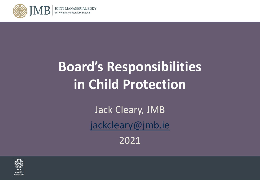

# **Board's Responsibilities in Child Protection**

Jack Cleary, JMB [jackcleary@jmb.ie](mailto:jackcleary@jmb.ie)

2021

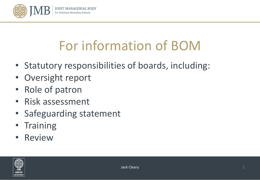

# For information of BOM

- Statutory responsibilities of boards, including:
- Oversight report
- Role of patron
- Risk assessment
- Safeguarding statement
- Training
- **Review**

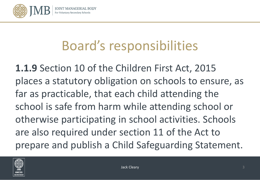

**1.1.9** Section 10 of the Children First Act, 2015 places a statutory obligation on schools to ensure, as far as practicable, that each child attending the school is safe from harm while attending school or otherwise participating in school activities. Schools are also required under section 11 of the Act to prepare and publish a Child Safeguarding Statement.

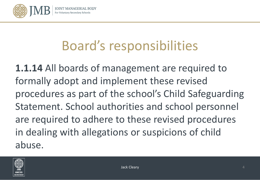

**1.1.14** All boards of management are required to formally adopt and implement these revised procedures as part of the school's Child Safeguarding Statement. School authorities and school personnel are required to adhere to these revised procedures in dealing with allegations or suspicions of child abuse.

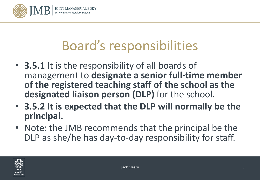

- **3.5.1** It is the responsibility of all boards of management to **designate a senior full-time member of the registered teaching staff of the school as the designated liaison person (DLP)** for the school.
- **3.5.2 It is expected that the DLP will normally be the principal.**
- Note: the JMB recommends that the principal be the DLP as she/he has day-to-day responsibility for staff.

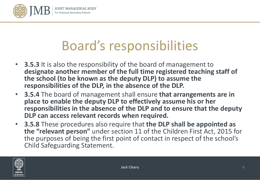

- **3.5.3** It is also the responsibility of the board of management to **designate another member of the full time registered teaching staff of the school (to be known as the deputy DLP) to assume the responsibilities of the DLP, in the absence of the DLP.**
- **3.5.4** The board of management shall ensure **that arrangements are in place to enable the deputy DLP to effectively assume his or her responsibilities in the absence of the DLP and to ensure that the deputy DLP can access relevant records when required.**
- **3.5.8** These procedures also require that **the DLP shall be appointed as the "relevant person"** under section 11 of the Children First Act, 2015 for the purposes of being the first point of contact in respect of the school's Child Safeguarding Statement.

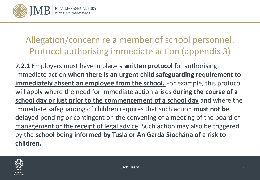

#### Allegation/concern re a member of school personnel: Protocol authorising immediate action (appendix 3)

**7.2.1** Employers must have in place a **written protocol** for authorising immediate action **when there is an urgent child safeguarding requirement to immediately absent an employee from the school.** For example, this protocol will apply where the need for immediate action arises **during the course of a school day or just prior to the commencement of a school day** and where the immediate safeguarding of children requires that such action **must not be delayed** pending or contingent on the convening of a meeting of the board of management or the receipt of legal advice. Such action may also be triggered by **the school being informed by Tusla or An Garda Síochána of a risk to children.**

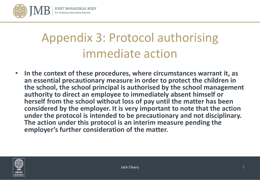

### Appendix 3: Protocol authorising immediate action

• **In the context of these procedures, where circumstances warrant it, as an essential precautionary measure in order to protect the children in the school, the school principal is authorised by the school management authority to direct an employee to immediately absent himself or herself from the school without loss of pay until the matter has been considered by the employer. It is very important to note that the action under the protocol is intended to be precautionary and not disciplinary. The action under this protocol is an interim measure pending the employer's further consideration of the matter.** 

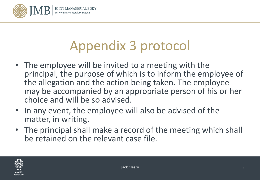

# Appendix 3 protocol

- The employee will be invited to a meeting with the principal, the purpose of which is to inform the employee of the allegation and the action being taken. The employee may be accompanied by an appropriate person of his or her choice and will be so advised.
- In any event, the employee will also be advised of the matter, in writing.
- The principal shall make a record of the meeting which shall be retained on the relevant case file.

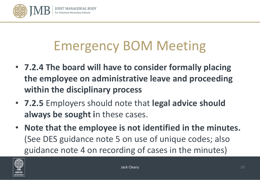

# Emergency BOM Meeting

- **7.2.4 The board will have to consider formally placing the employee on administrative leave and proceeding within the disciplinary process**
- **7.2.5** Employers should note that **legal advice should always be sought i**n these cases.
- **Note that the employee is not identified in the minutes.**  (See DES guidance note 5 on use of unique codes; also guidance note 4 on recording of cases in the minutes)

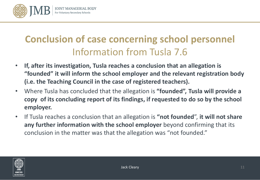

### **Conclusion of case concerning school personnel** Information from Tusla 7.6

- **If, after its investigation, Tusla reaches a conclusion that an allegation is "founded" it will inform the school employer and the relevant registration body (i.e. the Teaching Council in the case of registered teachers).**
- Where Tusla has concluded that the allegation is **"founded", Tusla will provide a copy of its concluding report of its findings, if requested to do so by the school employer.**
- If Tusla reaches a conclusion that an allegation is **"not founded**", **it will not share any further information with the school employer** beyond confirming that its conclusion in the matter was that the allegation was "not founded."

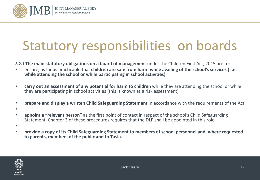

### Statutory responsibilities on boards

**8.2.1 The main statutory obligations on a board of management** under the Children First Act, 2015 are to:

- ensure, as far as practicable that **children are safe from harm while availing of the school's services ( i.e. while attending the school or while participating in school activities**)
- **carry out an assessment of any potential for harm to children** while they are attending the school or while they are participating in school activities (this is known as a risk assessment)
- **prepare and display a written Child Safeguarding Statement** in accordance with the requirements of the Act
- •
- **appoint a "relevant person"** as the first point of contact in respect of the school's Child Safeguarding Statement. Chapter 3 of these procedures requires that the DLP shall be appointed in this role.
- •
- **provide a copy of its Child Safeguarding Statement to members of school personnel and, where requested to parents, members of the public and to Tusla.**

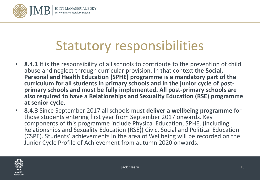

### Statutory responsibilities

- **8.4.1** It is the responsibility of all schools to contribute to the prevention of child abuse and neglect through curricular provision. In that context **the Social, Personal and Health Education (SPHE) programme is a mandatory part of the curriculum for all students in primary schools and in the junior cycle of post- primary schools and must be fully implemented. All post-primary schools are also required to have a Relationships and Sexuality Education (RSE) programme at senior cycle.**
- **8.4.3** Since September 2017 all schools must **deliver a wellbeing programme** for those students entering first year from September 2017 onwards. Key components of this programme include Physical Education, SPHE, (including Relationships and Sexuality Education (RSE)) Civic, Social and Political Education (CSPE). Students' achievements in the area of Wellbeing will be recorded on the Junior Cycle Profile of Achievement from autumn 2020 onwards.

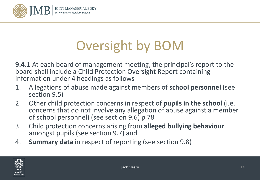

# Oversight by BOM

**9.4.1** At each board of management meeting, the principal's report to the board shall include a Child Protection Oversight Report containing information under 4 headings as follows-

- 1. Allegations of abuse made against members of **school personnel** (see section 9.5)
- 2. Other child protection concerns in respect of **pupils in the school** (i.e. concerns that do not involve any allegation of abuse against a member of school personnel) (see section 9.6) p 78
- 3. Child protection concerns arising from **alleged bullying behaviour**  amongst pupils (see section 9.7) and
- 4. **Summary data** in respect of reporting (see section 9.8)

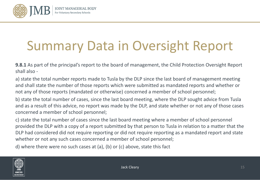

# Summary Data in Oversight Report

**9.8.1** As part of the principal's report to the board of management, the Child Protection Oversight Report shall also -

a) state the total number reports made to Tusla by the DLP since the last board of management meeting and shall state the number of those reports which were submitted as mandated reports and whether or not any of those reports (mandated or otherwise) concerned a member of school personnel;

b) state the total number of cases, since the last board meeting, where the DLP sought advice from Tusla and as a result of this advice, no report was made by the DLP, and state whether or not any of those cases concerned a member of school personnel;

c) state the total number of cases since the last board meeting where a member of school personnel provided the DLP with a copy of a report submitted by that person to Tusla in relation to a matter that the DLP had considered did not require reporting or did not require reporting as a mandated report and state whether or not any such cases concerned a member of school personnel;

d) where there were no such cases at (a), (b) or (c) above, state this fact

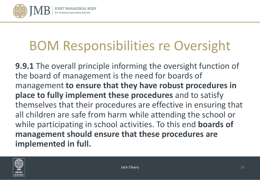

### BOM Responsibilities re Oversight

**9.9.1** The overall principle informing the oversight function of the board of management is the need for boards of management **to ensure that they have robust procedures in place to fully implement these procedures** and to satisfy themselves that their procedures are effective in ensuring that all children are safe from harm while attending the school or while participating in school activities. To this end **boards of management should ensure that these procedures are implemented in full.** 

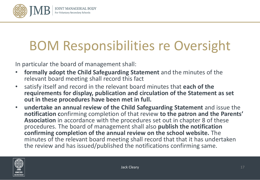

# BOM Responsibilities re Oversight

In particular the board of management shall:

- **formally adopt the Child Safeguarding Statement** and the minutes of the relevant board meeting shall record this fact
- satisfy itself and record in the relevant board minutes that **each of the requirements for display, publication and circulation of the Statement as set out in these procedures have been met in full.**
- **undertake an annual review of the Child Safeguarding Statement** and issue the **notification c**onfirming completion of that review **to the patron and the Parents' Association** in accordance with the procedures set out in chapter 8 of these procedures. The board of management shall also **publish the notification confirming completion of the annual review on the school website.** The minutes of the relevant board meeting shall record that that it has undertaken the review and has issued/published the notifications confirming same.

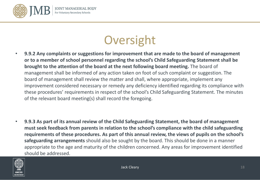

### **Oversight**

- **9.9.2 Any complaints or suggestions for improvement that are made to the board of management or to a member of school personnel regarding the school's Child Safeguarding Statement shall be brought to the attention of the board at the next following board meeting.** The board of management shall be informed of any action taken on foot of such complaint or suggestion. The board of management shall review the matter and shall, where appropriate, implement any improvement considered necessary or remedy any deficiency identified regarding its compliance with these procedures' requirements in respect of the school's Child Safeguarding Statement. The minutes of the relevant board meeting(s) shall record the foregoing.
- **9.9.3 As part of its annual review of the Child Safeguarding Statement, the board of management must seek feedback from parents in relation to the school's compliance with the child safeguarding requirements of these procedures. As part of this annual review, the views of pupils on the school's safeguarding arrangements** should also be sought by the board. This should be done in a manner appropriate to the age and maturity of the children concerned. Any areas for improvement identified should be addressed.

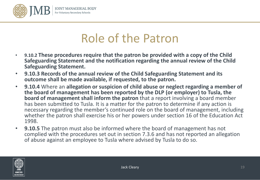

### Role of the Patron

- **9.10.2 These procedures require that the patron be provided with a copy of the Child Safeguarding Statement and the notification regarding the annual review of the Child Safeguarding Statement.**
- **9.10.3 Records of the annual review of the Child Safeguarding Statement and its outcome shall be made available, if requested, to the patron.**
- **9.10.4** Where an **allegation or suspicion of child abuse or neglect regarding a member of the board of management has been reported by the DLP (or employer) to Tusla, the board of management shall inform the patron** that a report involving a board member has been submitted to Tusla. It is a matter for the patron to determine if any action is necessary regarding the member's continued role on the board of management, including whether the patron shall exercise his or her powers under section 16 of the Education Act 1998.
- **9.10.5** The patron must also be informed where the board of management has not complied with the procedures set out in section 7.3.6 and has not reported an allegation of abuse against an employee to Tusla where advised by Tusla to do so.

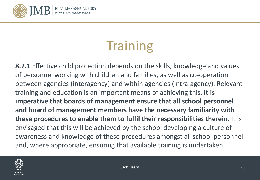

# **Training**

**8.7.1** Effective child protection depends on the skills, knowledge and values of personnel working with children and families, as well as co-operation between agencies (interagency) and within agencies (intra-agency). Relevant training and education is an important means of achieving this. **It is imperative that boards of management ensure that all school personnel and board of management members have the necessary familiarity with these procedures to enable them to fulfil their responsibilities therein.** It is envisaged that this will be achieved by the school developing a culture of awareness and knowledge of these procedures amongst all school personnel and, where appropriate, ensuring that available training is undertaken.

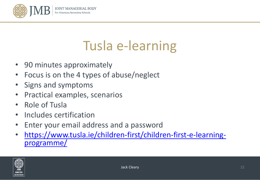

### Tusla e-learning

- 90 minutes approximately
- Focus is on the 4 types of abuse/neglect
- Signs and symptoms
- Practical examples, scenarios
- Role of Tusla
- Includes certification
- Enter your email address and a password
- [https://www.tusla.ie/children-first/children-first-e-learning-](https://www.tusla.ie/children-first/children-first-e-learning-programme/) programme/

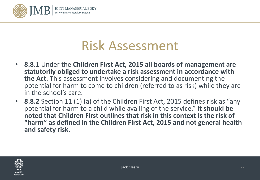

- **8.8.1** Under the **Children First Act, 2015 all boards of management are statutorily obliged to undertake a risk assessment in accordance with the Act**. This assessment involves considering and documenting the potential for harm to come to children (referred to as risk) while they are in the school's care.
- **8.8.2** Section 11 (1) (a) of the Children First Act, 2015 defines risk as "any potential for harm to a child while availing of the service." **It should be noted that Children First outlines that risk in this context is the risk of "harm" as defined in the Children First Act, 2015 and not general health and safety risk.**

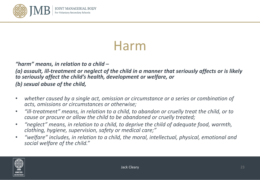

### Harm

#### *"harm" means, in relation to a child –*

*(a) assault, ill-treatment or neglect of the child in a manner that seriously affects or is likely to seriously affect the child's health, development or welfare, or* 

*(b) sexual abuse of the child,* 

- *whether caused by a single act, omission or circumstance or a series or combination of acts, omissions or circumstances or otherwise;*
- *"ill-treatment" means, in relation to a child, to abandon or cruelly treat the child, or to cause or procure or allow the child to be abandoned or cruelly treated;*
- *"neglect" means, in relation to a child, to deprive the child of adequate food, warmth, clothing, hygiene, supervision, safety or medical care;"*
- *"welfare" includes, in relation to a child, the moral, intellectual, physical, emotional and social welfare of the child."*

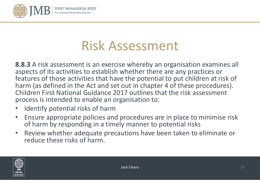

**8.8.3** A risk assessment is an exercise whereby an organisation examines all aspects of its activities to establish whether there are any practices or features of those activities that have the potential to put children at risk of harm (as defined in the Act and set out in chapter 4 of these procedures). Children First National Guidance 2017 outlines that the risk assessment process is intended to enable an organisation to:

- Identify potential risks of harm
- Ensure appropriate policies and procedures are in place to minimise risk of harm by responding in a timely manner to potential risks
- Review whether adequate precautions have been taken to eliminate or reduce these risks of harm.

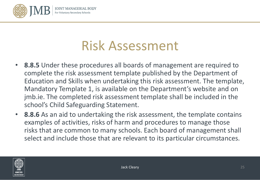

- **8.8.5** Under these procedures all boards of management are required to complete the risk assessment template published by the Department of Education and Skills when undertaking this risk assessment. The template, Mandatory Template 1, is available on the Department's website and on jmb.ie. The completed risk assessment template shall be included in the school's Child Safeguarding Statement.
- **8.8.6** As an aid to undertaking the risk assessment, the template contains examples of activities, risks of harm and procedures to manage those risks that are common to many schools. Each board of management shall select and include those that are relevant to its particular circumstances.

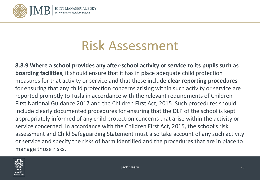

**8.8.9 Where a school provides any after-school activity or service to its pupils such as boarding facilities**, it should ensure that it has in place adequate child protection measures for that activity or service and that these include **clear reporting procedures** for ensuring that any child protection concerns arising within such activity or service are reported promptly to Tusla in accordance with the relevant requirements of Children First National Guidance 2017 and the Children First Act, 2015. Such procedures should include clearly documented procedures for ensuring that the DLP of the school is kept appropriately informed of any child protection concerns that arise within the activity or service concerned. In accordance with the Children First Act, 2015, the school's risk assessment and Child Safeguarding Statement must also take account of any such activity or service and specify the risks of harm identified and the procedures that are in place to manage those risks.

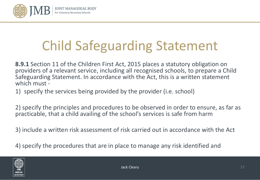

# Child Safeguarding Statement

**8.9.1** Section 11 of the Children First Act, 2015 places a statutory obligation on providers of a relevant service, including all recognised schools, to prepare a Child Safeguarding Statement. In accordance with the Act, this is a written statement which must -

1) specify the services being provided by the provider (i.e. school)

2) specify the principles and procedures to be observed in order to ensure, as far as practicable, that a child availing of the school's services is safe from harm

3) include a written risk assessment of risk carried out in accordance with the Act

4) specify the procedures that are in place to manage any risk identified and

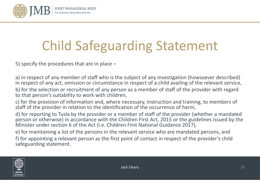

# Child Safeguarding Statement

5) specify the procedures that are in place –

a) in respect of any member of staff who is the subject of any investigation (howsoever described) in respect of any act, omission or circumstance in respect of a child availing of the relevant service, b) for the selection or recruitment of any person as a member of staff of the provider with regard to that person's suitability to work with children,

c) for the provision of information and, where necessary, instruction and training, to members of staff of the provider in relation to the identification of the occurrence of harm,

d) for reporting to Tusla by the provider or a member of staff of the provider (whether a mandated person or otherwise) in accordance with the Children First Act, 2015 or the guidelines issued by the Minister under section 6 of the Act (i.e. Children First National Guidance 2017),

e) for maintaining a list of the persons in the relevant service who are mandated persons, and f) for appointing a relevant person as the first point of contact in respect of the provider's child safeguarding statement.

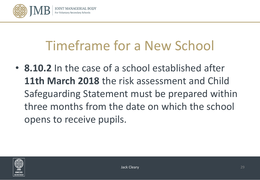

### Timeframe for a New School

• **8.10.2** In the case of a school established after **11th March 2018** the risk assessment and Child Safeguarding Statement must be prepared within three months from the date on which the school opens to receive pupils.

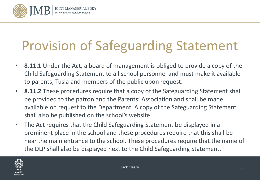

# Provision of Safeguarding Statement

- **8.11.1** Under the Act, a board of management is obliged to provide a copy of the Child Safeguarding Statement to all school personnel and must make it available to parents, Tusla and members of the public upon request.
- **8.11.2** These procedures require that a copy of the Safeguarding Statement shall be provided to the patron and the Parents' Association and shall be made available on request to the Department. A copy of the Safeguarding Statement shall also be published on the school's website.
- The Act requires that the Child Safeguarding Statement be displayed in a prominent place in the school and these procedures require that this shall be near the main entrance to the school. These procedures require that the name of the DLP shall also be displayed next to the Child Safeguarding Statement.

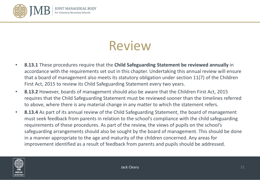

### Review

- **8.13.1** These procedures require that the **Child Safeguarding Statement be reviewed annually** in accordance with the requirements set out in this chapter. Undertaking this annual review will ensure that a board of management also meets its statutory obligation under section 11(7) of the Children First Act, 2015 to review its Child Safeguarding Statement every two years.
- **8.13.2** However, boards of management should also be aware that the Children First Act, 2015 requires that the Child Safeguarding Statement must be reviewed sooner than the timelines referred to above, where there is any material change in any matter to which the statement refers.
- **8.13.4** As part of its annual review of the Child Safeguarding Statement, the board of management must seek feedback from parents in relation to the school's compliance with the child safeguarding requirements of these procedures. As part of the review, the views of pupils on the school's safeguarding arrangements should also be sought by the board of management. This should be done in a manner appropriate to the age and maturity of the children concerned. Any areas for improvement identified as a result of feedback from parents and pupils should be addressed.